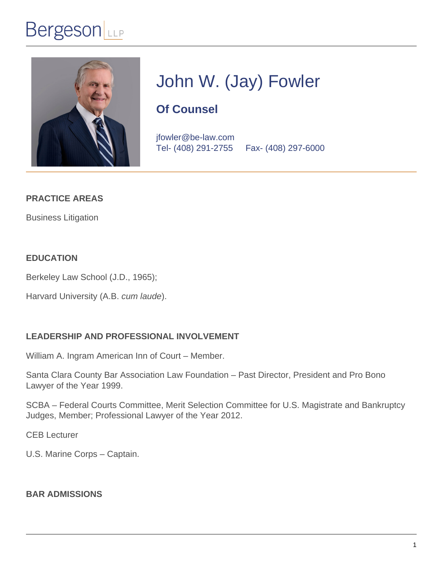# John W. (Jay) Fowler

# Of Counsel

jfowler@be-law.com Tel- (408) 291-2755 Fax- (408) 297-6000

PRACTICE AREAS

[Business Litigation](�� / b u s i n e s s - l i t i g a t i o n /)

EDUCATION

Berkeley Law School (J.D., 1965);

Harvard University (A.B. cum laude).

#### LEADERSHIP AND PROFESSIONAL INVOLVEMENT

William A. Ingram American Inn of Court – Member.

Santa Clara County Bar Association Law Foundation – Past Director, President and Pro Bono Lawyer of the Year 1999.

SCBA – Federal Courts Committee, Merit Selection Committee for U.S. Magistrate and Bankruptcy Judges, Member; Professional Lawyer of the Year 2012.

CEB Lecturer

U.S. Marine Corps – Captain.

BAR ADMISSIONS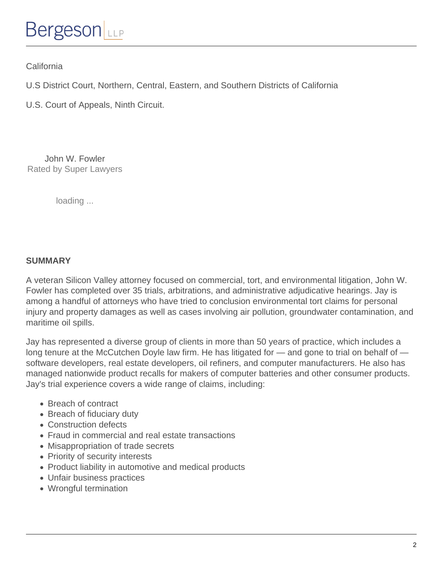**California** 

U.S District Court, Northern, Central, Eastern, and Southern Districts of California

U.S. Court of Appeals, Ninth Circuit.

[John W. Fowler](�� h t t p s : / / p r o f i l e s . s u p e r l a w y e r s . c o m / c a l i f o r n i a - n o r t h e r n / s a n - j o s e / l a w y e r / j o h n - w - f o w l e r / 7 e c 8 8 b 1 b - 2 5 3 4 - 4 f 3 6 - b e b d - 6 3 8 3 4 7 3 9 c 4 7 1 . h t m l ? u t m _ s o u r c e = 7 e c 8 8 b 1 b - 2 5 3 4 - 4 f 3 6 - b e b d - 6 3 8 3 4 7 3 9 c 4 7 1 & u t m _ c a m p a i g n = v 1 - s l b a d g e - o r a n g e & u t m _ c o n t e n t = p r o f i l e) Rated by Super Lawyers

loading ...

SUMMARY

A veteran Silicon Valley attorney focused on commercial, tort, and environmental litigation, John W. Fowler has completed over 35 trials, arbitrations, and administrative adjudicative hearings. Jay is among a handful of attorneys who have tried to conclusion environmental tort claims for personal injury and property damages as well as cases involving air pollution, groundwater contamination, and maritime oil spills.

Jay has represented a diverse group of clients in more than 50 years of practice, which includes a long tenure at the McCutchen Doyle law firm. He has litigated for — and gone to trial on behalf of software developers, real estate developers, oil refiners, and computer manufacturers. He also has managed nationwide product recalls for makers of computer batteries and other consumer products. Jay's trial experience covers a wide range of claims, including:

- Breach of contract
- Breach of fiduciary duty
- Construction defects
- Fraud in commercial and real estate transactions
- Misappropriation of trade secrets
- Priority of security interests
- Product liability in automotive and medical products
- Unfair business practices
- Wrongful termination